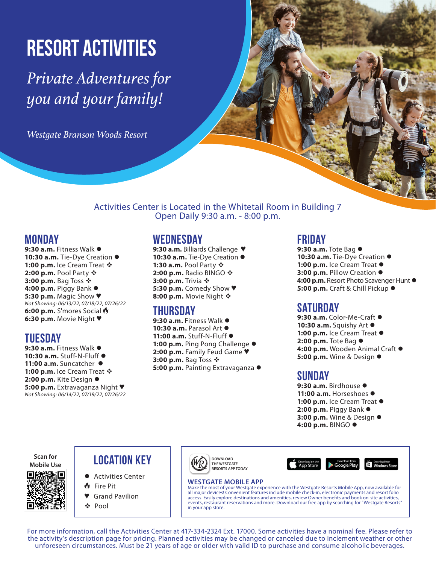# Resort Activities

*Private Adventures for you and your family!*

*Westgate Branson Woods Resort* 

Activities Center is Located in the Whitetail Room in Building 7 Open Daily 9:30 a.m. - 8:00 p.m.

## **Monday**

9:30 a.m. Fitness Walk  $\bullet$ 10:30 a.m. Tie-Dye Creation  $\bullet$ 1:00 p.m. Ice Cream Treat  $\mathbf{\hat{v}}$ **2:00 p.m.** Pool Party ❖ **3:00 p.m.** Bag Toss ❖ **4:00 p.m.** Piggy Bank ● **5:30 p.m.** Magic Show ♥ *Not Showing: 06/13/22, 07/18/22, 07/26/22* **6:00 p.m.** S'mores Social **6:30 p.m.** Movie Night ♥

## **Tuesday**

9:30 a.m. Fitness Walk  $\bullet$ 10:30 a.m. Stuff-N-Fluff  $\bullet$ 11:00 a.m. Suncatcher  $\bullet$ 1:00 p.m. Ice Cream Treat  $\div$ 2:00 p.m. Kite Design  $\bullet$ **5:00 p.m.** Extravaganza Night ♥ *Not Showing: 06/14/22, 07/19/22, 07/26/22*

## **Wednesday**

9:30 a.m. Billiards Challenge ♥ 10:30 a.m. Tie-Dye Creation  $\bullet$ **1:30 a.m.** Pool Party  $\cdot$ **2:00 p.m.** Radio BINGO ❖ **3:00 p.m.** Trivia ❖ **5:30 p.m.** Comedy Show ♥ **8:00 p.m.** Movie Night  $\hat{\mathbf{v}}$ 

## **Thursday**

9:30 a.m. Fitness Walk  $\bullet$ 10:30 a.m. Parasol Art  $\bullet$ 11:00 a.m. Stuff-N-Fluff  $\bullet$ 1:00 p.m. Ping Pong Challenge  $\bullet$ **2:00 p.m.** Family Feud Game ♥ **3:00 p.m.** Bag Toss ❖ **5:00 p.m.** Painting Extravaganza l

## **Friday**

9:30 a.m. Tote Bag  $\bullet$ 10:30 a.m. Tie-Dye Creation  $\bullet$ 1:00 p.m. Ice Cream Treat  $\bullet$ **3:00 p.m.** Pillow Creation ● 4:00 p.m. Resort Photo Scavenger Hunt  $\bullet$ **5:00 p.m.** Craft & Chill Pickup ●

## **Saturday**

9:30 a.m. Color-Me-Craft  $\bullet$ 10:30 a.m. Squishy Art  $\bullet$ 1:00 p.m. Ice Cream Treat  $\bullet$ **2:00 p.m.** Tote Bag ● **4:00 p.m.** Wooden Animal Craft ● **5:00 p.m.** Wine & Design  $\bullet$ 

## **Sunday**

9:30 a.m. Birdhouse  $\bullet$ 11:00 a.m. Horseshoes  $\bullet$ 1:00 p.m. Ice Cream Treat  $\bullet$ **2:00 p.m.** Piggy Bank ● **3:00 p.m.** Wine & Design ● **4:00 p.m.** BINGO ●

 $\mathbf{H}$  Windo

**Scan for** 



## **Mobile Use LOCATION KEY**

- l Activities Center
- Fire Pit
- **Grand Pavilion**
- v Pool



**DOWNLOAD THE WESTGATE RESORTS APP TODAY**

### **WESTGATE MOBILE APP**

Make the most of your Westgate experience with the Westgate Resorts Mobile App, now available for all major devices! Convenient features include mobile check-in, electronic payments and resort folio access. Easily explore destinations and amenities, review Owner benefits and book on-site activities, events, restaurant reservations and more. Download our free app by searching for "Westgate Resorts in your app store.

App Stor

For more information, call the Activities Center at 417-334-2324 Ext. 17000. Some activities have a nominal fee. Please refer to the activity's description page for pricing. Planned activities may be changed or canceled due to inclement weather or other unforeseen circumstances. Must be 21 years of age or older with valid ID to purchase and consume alcoholic beverages.